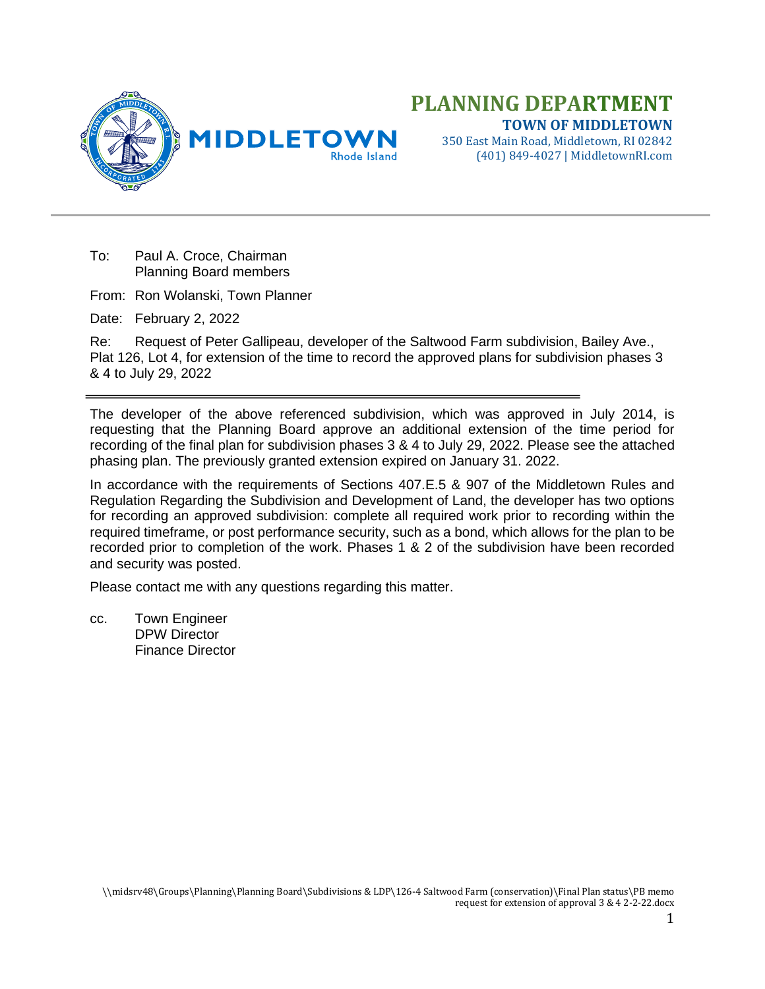

## **PLANNING DEPARTMENT TOWN OF MIDDLETOWN**

350 East Main Road, Middletown, RI 02842 (401) 849-4027 | MiddletownRI.com

To: Paul A. Croce, Chairman Planning Board members

From: Ron Wolanski, Town Planner

Date: February 2, 2022

Re: Request of Peter Gallipeau, developer of the Saltwood Farm subdivision, Bailey Ave., Plat 126, Lot 4, for extension of the time to record the approved plans for subdivision phases 3 & 4 to July 29, 2022

The developer of the above referenced subdivision, which was approved in July 2014, is requesting that the Planning Board approve an additional extension of the time period for recording of the final plan for subdivision phases 3 & 4 to July 29, 2022. Please see the attached phasing plan. The previously granted extension expired on January 31. 2022.

In accordance with the requirements of Sections 407.E.5 & 907 of the Middletown Rules and Regulation Regarding the Subdivision and Development of Land, the developer has two options for recording an approved subdivision: complete all required work prior to recording within the required timeframe, or post performance security, such as a bond, which allows for the plan to be recorded prior to completion of the work. Phases 1 & 2 of the subdivision have been recorded and security was posted.

Please contact me with any questions regarding this matter.

cc. Town Engineer DPW Director Finance Director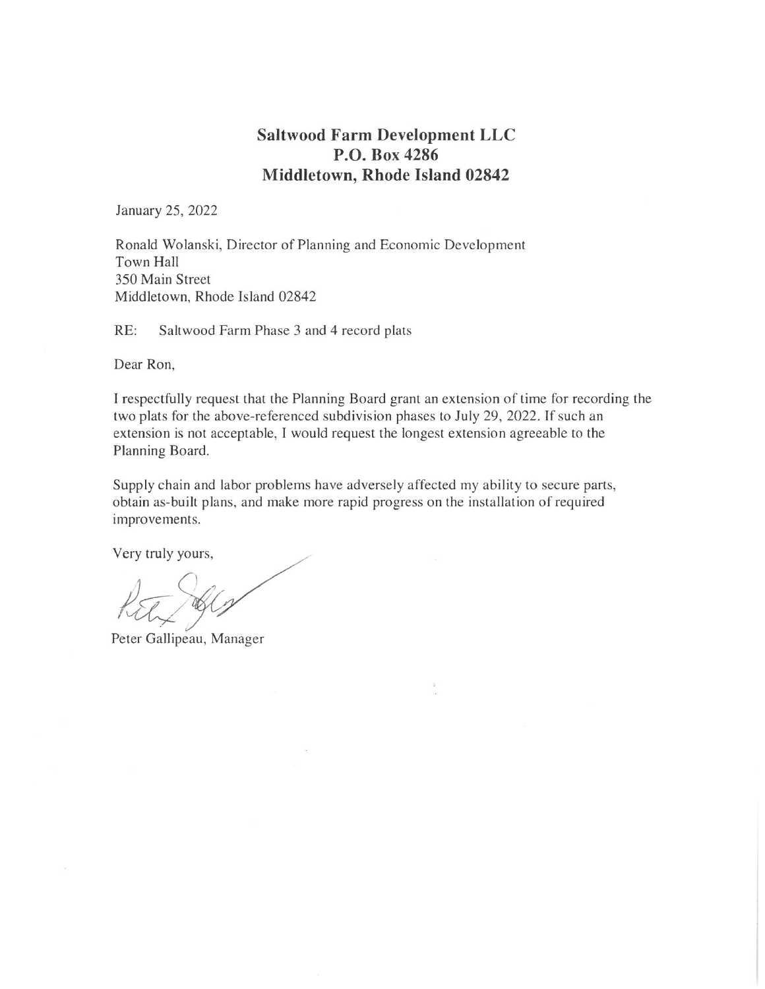## **Saltwood Farm Development LLC** P.O. Box 4286 Middletown, Rhode Island 02842

January 25, 2022

Ronald Wolanski, Director of Planning and Economic Development Town Hall 350 Main Street Middletown, Rhode Island 02842

 $RE:$ Saltwood Farm Phase 3 and 4 record plats

Dear Ron,

I respectfully request that the Planning Board grant an extension of time for recording the two plats for the above-referenced subdivision phases to July 29, 2022. If such an extension is not acceptable, I would request the longest extension agreeable to the Planning Board.

Supply chain and labor problems have adversely affected my ability to secure parts, obtain as-built plans, and make more rapid progress on the installation of required improvements.

Very truly yours,

Peter Gallipeau, Manager